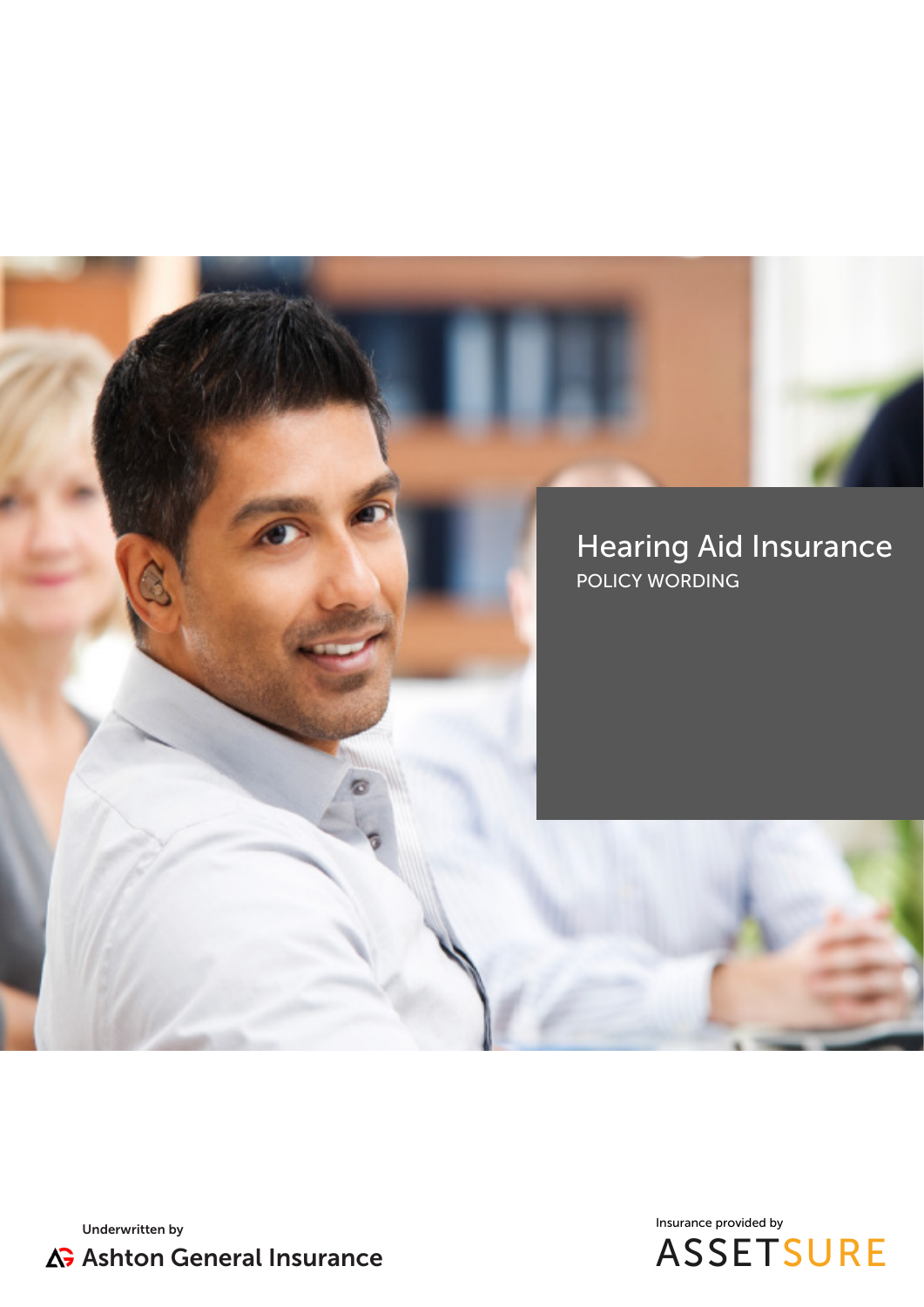



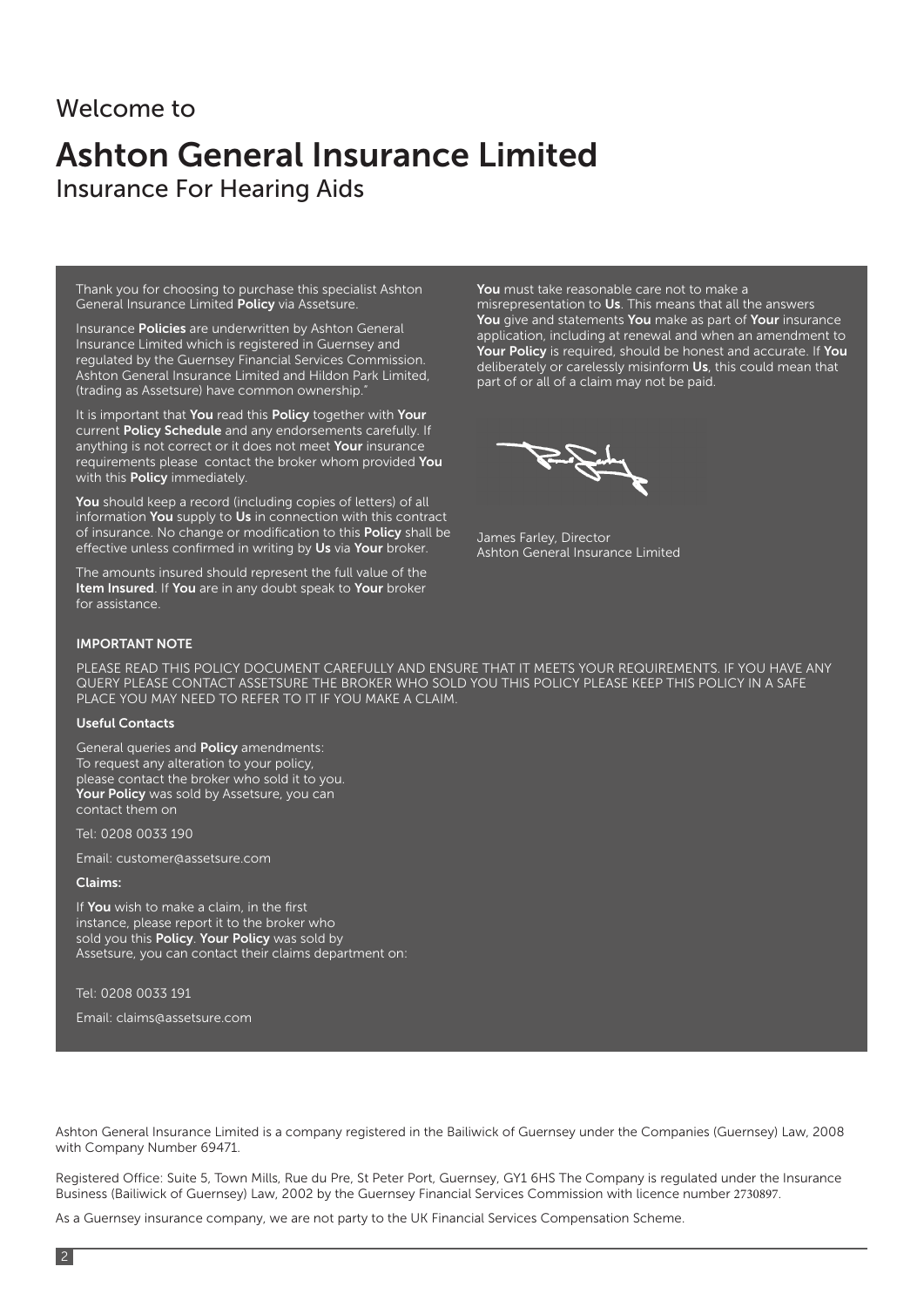### Welcome to

### Ashton General Insurance Limited Insurance For Hearing Aids

Thank you for choosing to purchase this specialist Ashton General Insurance Limited Policy via Assetsure.

Insurance Policies are underwritten by Ashton General Insurance Limited which is registered in Guernsey and regulated by the Guernsey Financial Services Commission. Ashton General Insurance Limited and Hildon Park Limited, (trading as Assetsure) have common ownership.

It is important that You read this Policy together with Your current Policy Schedule and any endorsements carefully. If anything is not correct or it does not meet Your insurance requirements please contact the broker whom provided You with this **Policy** immediately.

You should keep a record (including copies of letters) of all information You supply to Us in connection with this contract of insurance. No change or modification to this Policy shall be effective unless confirmed in writing by Us via Your broker.

The amounts insured should represent the full value of the Item Insured. If You are in any doubt speak to Your broker for assistance.

You must take reasonable care not to make a misrepresentation to Us. This means that all the answers You give and statements You make as part of Your insurance application, including at renewal and when an amendment to Your Policy is required, should be honest and accurate. If You deliberately or carelessly misinform Us, this could mean that part of or all of a claim may not be paid.

James Farley, Director Ashton General Insurance Limited

#### IMPORTANT NOTE

PLEASE READ THIS POLICY DOCUMENT CAREFULLY AND ENSURE THAT IT MEETS YOUR REQUIREMENTS. IF YOU HAVE ANY QUERY PLEASE CONTACT ASSETSURE THE BROKER WHO SOLD YOU THIS POLICY PLEASE KEEP THIS POLICY IN A SAFE PLACE YOU MAY NEED TO REFER TO IT IF YOU MAKE A CLAIM.

#### Useful Contacts

General queries and **Policy** amendments: To request any alteration to your policy, please contact the broker who sold it to you. Your Policy was sold by Assetsure, you can contact them on

Tel: 0208 0033 190

Email: customer@assetsure.com

#### Claims:

If You wish to make a claim, in the first instance, please report it to the broker who sold you this **Policy**. Your Policy was sold by Assetsure, you can contact their claims department on:

Tel: 0208 0033 191

Email: claims@assetsure.com

Ashton General Insurance Limited is a company registered in the Bailiwick of Guernsey under the Companies (Guernsey) Law, 2008 with Company Number 69471.

Registered Office: Suite 5, Town Mills, Rue du Pre, St Peter Port, Guernsey, GY1 6HS The Company is regulated under the Insurance Business (Bailiwick of Guernsey) Law, 2002 by the Guernsey Financial Services Commission with licence number 2730897.

As a Guernsey insurance company, we are not party to the UK Financial Services Compensation Scheme.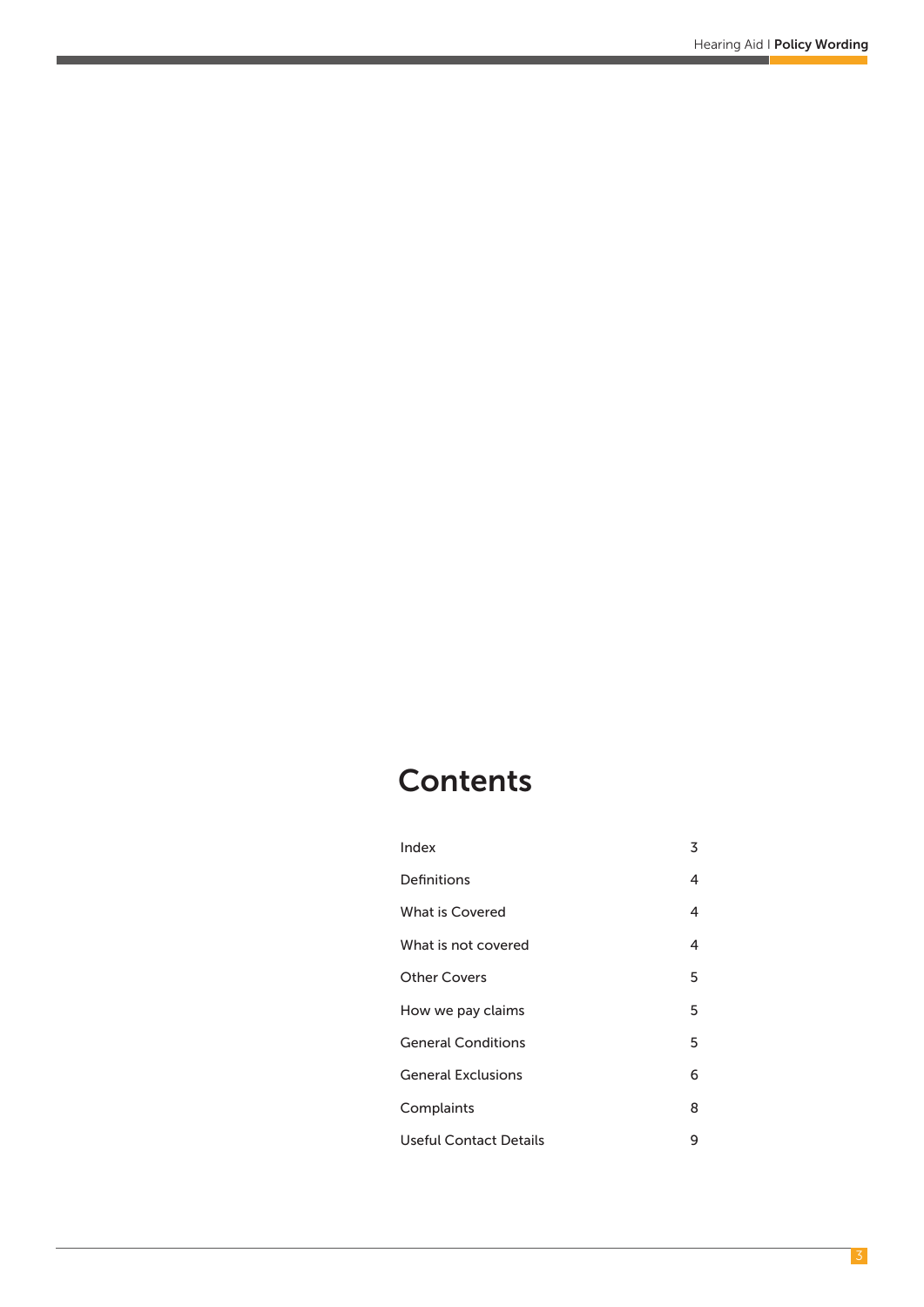### **Contents**

| Index                     | 3 |
|---------------------------|---|
| Definitions               | 4 |
| What is Covered           | 4 |
| What is not covered       | 4 |
| <b>Other Covers</b>       | 5 |
| How we pay claims         | 5 |
| <b>General Conditions</b> | 5 |
| <b>General Exclusions</b> | 6 |
| Complaints                | 8 |
| Useful Contact Details    | 9 |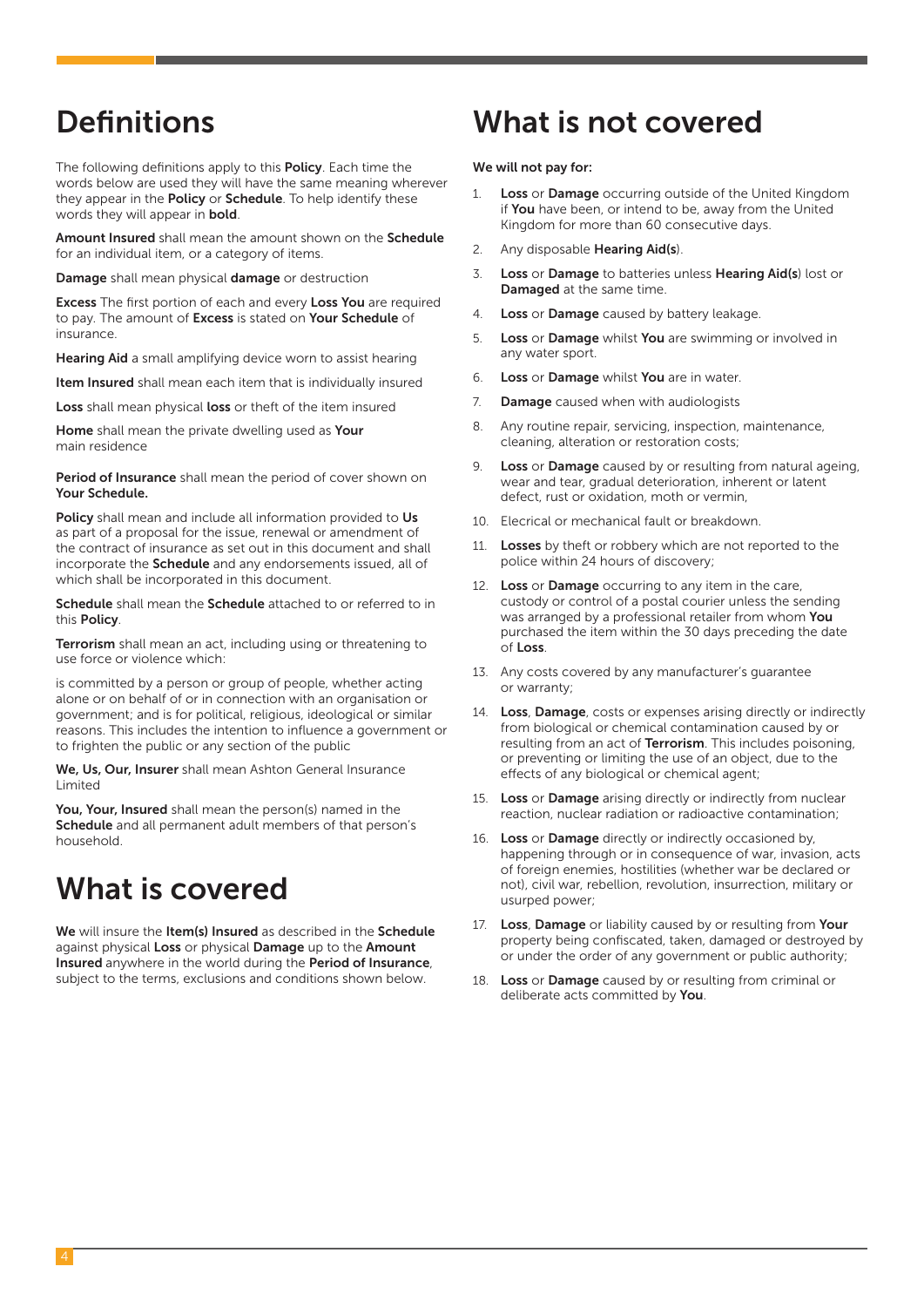The following definitions apply to this **Policy**. Each time the words below are used they will have the same meaning wherever they appear in the **Policy** or **Schedule**. To help identify these words they will appear in bold.

Amount Insured shall mean the amount shown on the Schedule for an individual item, or a category of items.

Damage shall mean physical damage or destruction

Excess The first portion of each and every Loss You are required to pay. The amount of **Excess** is stated on **Your Schedule** of insurance.

Hearing Aid a small amplifying device worn to assist hearing

Item Insured shall mean each item that is individually insured

Loss shall mean physical loss or theft of the item insured

Home shall mean the private dwelling used as Your main residence

Period of Insurance shall mean the period of cover shown on Your Schedule.

Policy shall mean and include all information provided to Us as part of a proposal for the issue, renewal or amendment of the contract of insurance as set out in this document and shall incorporate the **Schedule** and any endorsements issued, all of which shall be incorporated in this document.

Schedule shall mean the Schedule attached to or referred to in this Policy.

Terrorism shall mean an act, including using or threatening to use force or violence which:

is committed by a person or group of people, whether acting alone or on behalf of or in connection with an organisation or government; and is for political, religious, ideological or similar reasons. This includes the intention to influence a government or to frighten the public or any section of the public

We, Us, Our, Insurer shall mean Ashton General Insurance Limited

You, Your, Insured shall mean the person(s) named in the Schedule and all permanent adult members of that person's household.

### What is covered

We will insure the Item(s) Insured as described in the Schedule against physical Loss or physical Damage up to the Amount Insured anywhere in the world during the Period of Insurance, subject to the terms, exclusions and conditions shown below.

### Definitions What is not covered

#### We will not pay for:

- 1. Loss or Damage occurring outside of the United Kingdom if You have been, or intend to be, away from the United Kingdom for more than 60 consecutive days.
- 2. Any disposable Hearing Aid(s).
- 3. Loss or Damage to batteries unless Hearing Aid(s) lost or Damaged at the same time.
- 4. Loss or Damage caused by battery leakage.
- 5. Loss or Damage whilst You are swimming or involved in any water sport.
- 6. Loss or Damage whilst You are in water.
- 7. **Damage** caused when with audiologists
- 8. Any routine repair, servicing, inspection, maintenance, cleaning, alteration or restoration costs;
- 9. Loss or Damage caused by or resulting from natural ageing, wear and tear, gradual deterioration, inherent or latent defect, rust or oxidation, moth or vermin,
- 10. Elecrical or mechanical fault or breakdown.
- 11. Losses by theft or robbery which are not reported to the police within 24 hours of discovery;
- 12. Loss or Damage occurring to any item in the care, custody or control of a postal courier unless the sending was arranged by a professional retailer from whom You purchased the item within the 30 days preceding the date of Loss.
- 13. Any costs covered by any manufacturer's guarantee or warranty;
- 14. Loss, Damage, costs or expenses arising directly or indirectly from biological or chemical contamination caused by or resulting from an act of **Terrorism**. This includes poisoning, or preventing or limiting the use of an object, due to the effects of any biological or chemical agent;
- 15. Loss or Damage arising directly or indirectly from nuclear reaction, nuclear radiation or radioactive contamination;
- 16. Loss or Damage directly or indirectly occasioned by, happening through or in consequence of war, invasion, acts of foreign enemies, hostilities (whether war be declared or not), civil war, rebellion, revolution, insurrection, military or usurped power;
- 17. Loss, Damage or liability caused by or resulting from Your property being confiscated, taken, damaged or destroyed by or under the order of any government or public authority;
- 18. Loss or Damage caused by or resulting from criminal or deliberate acts committed by You.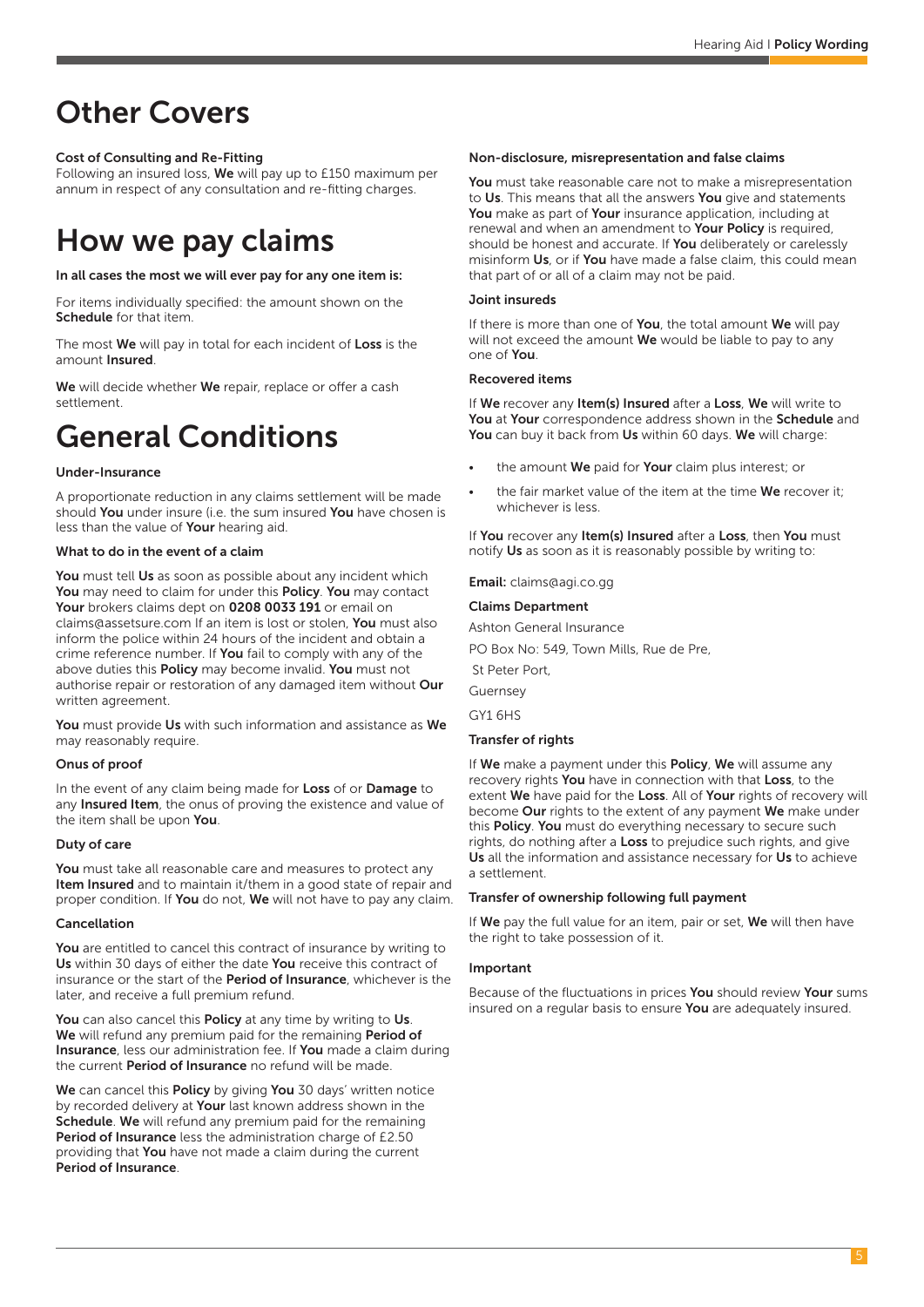### Other Covers

### Cost of Consulting and Re-Fitting

Following an insured loss, We will pay up to £150 maximum per annum in respect of any consultation and re-fitting charges.

### How we pay claims

#### In all cases the most we will ever pay for any one item is:

For items individually specified: the amount shown on the Schedule for that item.

The most **We** will pay in total for each incident of Loss is the amount Insured.

We will decide whether We repair, replace or offer a cash settlement.

### General Conditions

#### Under-Insurance

A proportionate reduction in any claims settlement will be made should You under insure (i.e. the sum insured You have chosen is less than the value of Your hearing aid.

#### What to do in the event of a claim

You must tell Us as soon as possible about any incident which You may need to claim for under this Policy. You may contact Your brokers claims dept on 0208 0033 191 or email on claims@assetsure.com If an item is lost or stolen, You must also inform the police within 24 hours of the incident and obtain a crime reference number. If **You** fail to comply with any of the above duties this **Policy** may become invalid. You must not authorise repair or restoration of any damaged item without Our written agreement.

You must provide Us with such information and assistance as We may reasonably require.

#### Onus of proof

In the event of any claim being made for Loss of or Damage to any Insured Item, the onus of proving the existence and value of the item shall be upon You.

#### Duty of care

You must take all reasonable care and measures to protect any Item Insured and to maintain it/them in a good state of repair and proper condition. If You do not, We will not have to pay any claim.

#### Cancellation

You are entitled to cancel this contract of insurance by writing to Us within 30 days of either the date You receive this contract of insurance or the start of the Period of Insurance, whichever is the later, and receive a full premium refund.

You can also cancel this Policy at any time by writing to Us. We will refund any premium paid for the remaining Period of Insurance, less our administration fee. If You made a claim during the current Period of Insurance no refund will be made.

We can cancel this Policy by giving You 30 days' written notice by recorded delivery at Your last known address shown in the Schedule. We will refund any premium paid for the remaining Period of Insurance less the administration charge of £2.50 providing that You have not made a claim during the current Period of Insurance.

#### Non-disclosure, misrepresentation and false claims

You must take reasonable care not to make a misrepresentation to Us. This means that all the answers You give and statements You make as part of Your insurance application, including at renewal and when an amendment to Your Policy is required, should be honest and accurate. If **You** deliberately or carelessly misinform Us, or if You have made a false claim, this could mean that part of or all of a claim may not be paid.

#### Joint insureds

If there is more than one of You, the total amount We will pay will not exceed the amount  $We$  would be liable to pay to any one of You.

#### Recovered items

If We recover any Item(s) Insured after a Loss, We will write to You at Your correspondence address shown in the Schedule and You can buy it back from Us within 60 days. We will charge:

- the amount We paid for Your claim plus interest; or
- the fair market value of the item at the time We recover it: whichever is less.

If You recover any Item(s) Insured after a Loss, then You must notify Us as soon as it is reasonably possible by writing to:

Email: claims@agi.co.gg

#### Claims Department

Ashton General Insurance

PO Box No: 549, Town Mills, Rue de Pre,

St Peter Port,

Guernsey

GY1 6HS

#### Transfer of rights

If We make a payment under this Policy, We will assume any recovery rights You have in connection with that Loss, to the extent We have paid for the Loss. All of Your rights of recovery will become Our rights to the extent of any payment We make under this Policy. You must do everything necessary to secure such rights, do nothing after a **Loss** to prejudice such rights, and give Us all the information and assistance necessary for Us to achieve a settlement.

#### Transfer of ownership following full payment

If We pay the full value for an item, pair or set, We will then have the right to take possession of it.

#### Important

Because of the fluctuations in prices You should review Your sums insured on a regular basis to ensure You are adequately insured.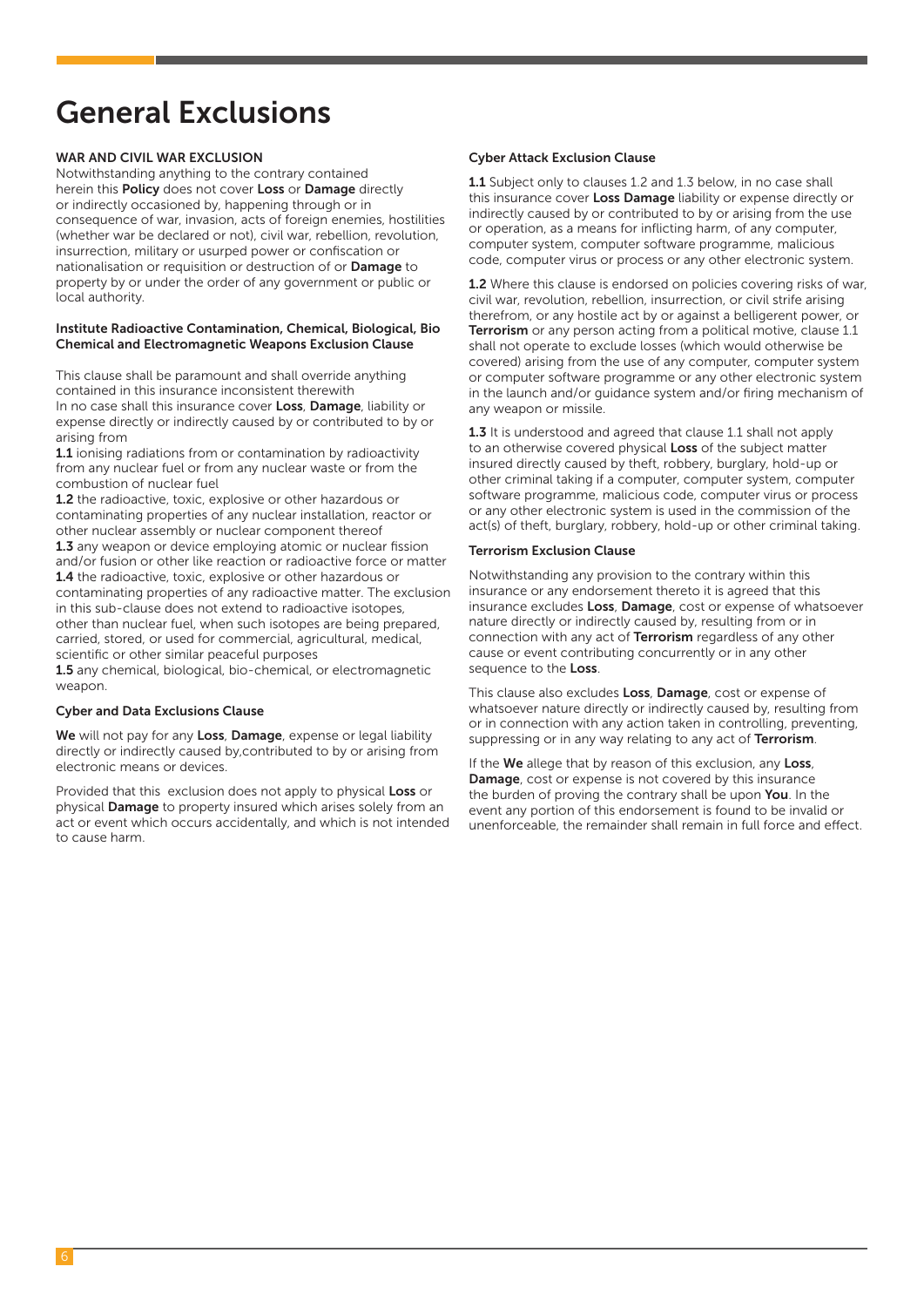## General Exclusions

#### WAR AND CIVIL WAR EXCLUSION

Notwithstanding anything to the contrary contained herein this Policy does not cover Loss or Damage directly or indirectly occasioned by, happening through or in consequence of war, invasion, acts of foreign enemies, hostilities (whether war be declared or not), civil war, rebellion, revolution, insurrection, military or usurped power or confiscation or nationalisation or requisition or destruction of or Damage to property by or under the order of any government or public or local authority.

#### Institute Radioactive Contamination, Chemical, Biological, Bio Chemical and Electromagnetic Weapons Exclusion Clause

This clause shall be paramount and shall override anything contained in this insurance inconsistent therewith In no case shall this insurance cover **Loss**, **Damage**, liability or expense directly or indirectly caused by or contributed to by or arising from

1.1 ionising radiations from or contamination by radioactivity from any nuclear fuel or from any nuclear waste or from the combustion of nuclear fuel

1.2 the radioactive, toxic, explosive or other hazardous or contaminating properties of any nuclear installation, reactor or other nuclear assembly or nuclear component thereof 1.3 any weapon or device employing atomic or nuclear fission and/or fusion or other like reaction or radioactive force or matter 1.4 the radioactive, toxic, explosive or other hazardous or contaminating properties of any radioactive matter. The exclusion in this sub-clause does not extend to radioactive isotopes, other than nuclear fuel, when such isotopes are being prepared, carried, stored, or used for commercial, agricultural, medical, scientific or other similar peaceful purposes

1.5 any chemical, biological, bio-chemical, or electromagnetic weapon.

#### Cyber and Data Exclusions Clause

We will not pay for any Loss, Damage, expense or legal liability directly or indirectly caused by,contributed to by or arising from electronic means or devices.

Provided that this exclusion does not apply to physical Loss or physical Damage to property insured which arises solely from an act or event which occurs accidentally, and which is not intended to cause harm.

#### Cyber Attack Exclusion Clause

1.1 Subject only to clauses 1.2 and 1.3 below, in no case shall this insurance cover Loss Damage liability or expense directly or indirectly caused by or contributed to by or arising from the use or operation, as a means for inflicting harm, of any computer, computer system, computer software programme, malicious code, computer virus or process or any other electronic system.

1.2 Where this clause is endorsed on policies covering risks of war. civil war, revolution, rebellion, insurrection, or civil strife arising therefrom, or any hostile act by or against a belligerent power, or Terrorism or any person acting from a political motive, clause 1.1 shall not operate to exclude losses (which would otherwise be covered) arising from the use of any computer, computer system or computer software programme or any other electronic system in the launch and/or guidance system and/or firing mechanism of any weapon or missile.

1.3 It is understood and agreed that clause 1.1 shall not apply to an otherwise covered physical Loss of the subject matter insured directly caused by theft, robbery, burglary, hold-up or other criminal taking if a computer, computer system, computer software programme, malicious code, computer virus or process or any other electronic system is used in the commission of the act(s) of theft, burglary, robbery, hold-up or other criminal taking.

#### Terrorism Exclusion Clause

Notwithstanding any provision to the contrary within this insurance or any endorsement thereto it is agreed that this insurance excludes Loss, Damage, cost or expense of whatsoever nature directly or indirectly caused by, resulting from or in connection with any act of Terrorism regardless of any other cause or event contributing concurrently or in any other sequence to the Loss.

This clause also excludes Loss, Damage, cost or expense of whatsoever nature directly or indirectly caused by, resulting from or in connection with any action taken in controlling, preventing, suppressing or in any way relating to any act of Terrorism.

If the We allege that by reason of this exclusion, any Loss, Damage, cost or expense is not covered by this insurance the burden of proving the contrary shall be upon You. In the event any portion of this endorsement is found to be invalid or unenforceable, the remainder shall remain in full force and effect.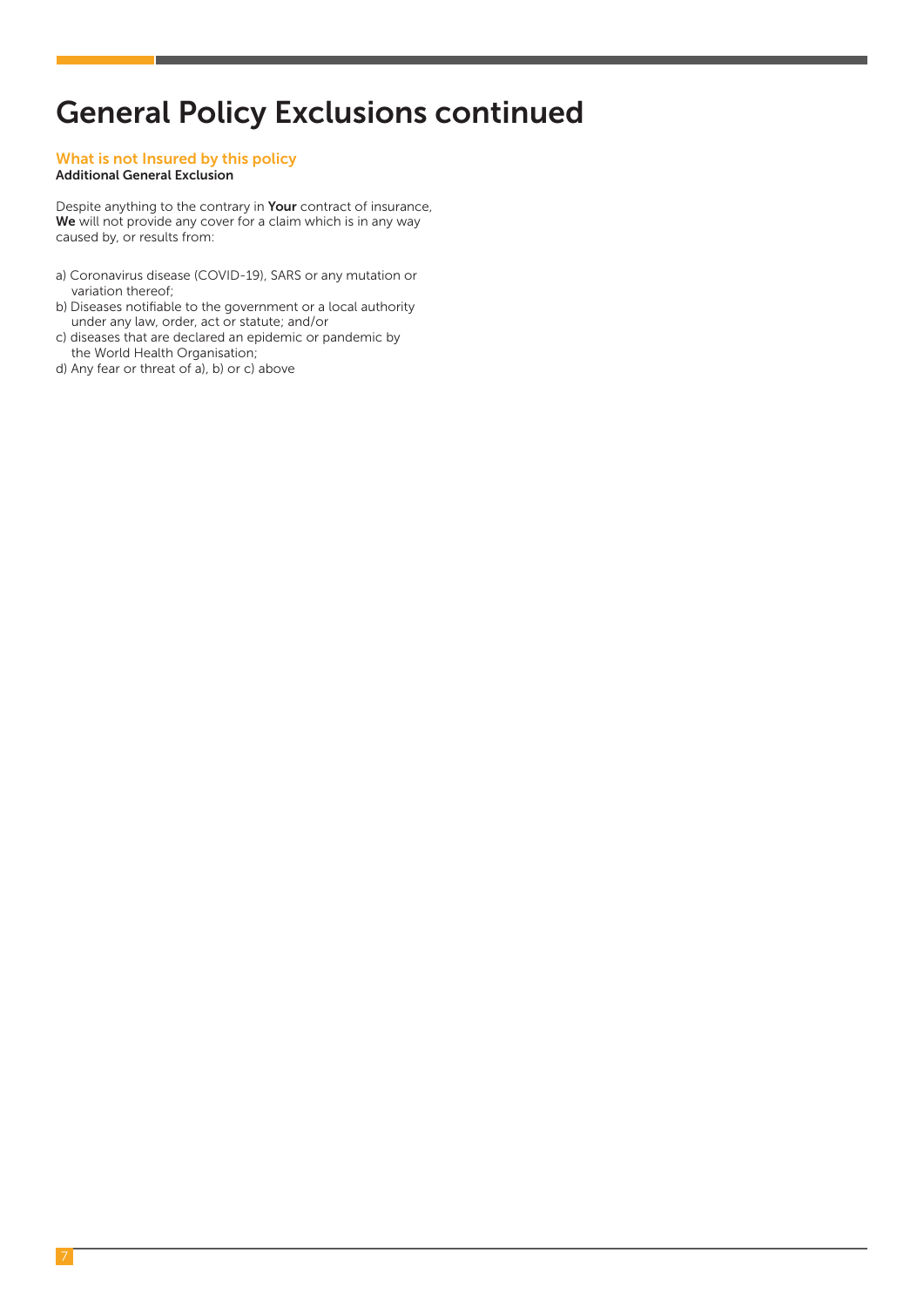### General Policy Exclusions continued

#### What is not Insured by this policy Additional General Exclusion

Despite anything to the contrary in Your contract of insurance, We will not provide any cover for a claim which is in any way caused by, or results from:

- a) Coronavirus disease (COVID-19), SARS or any mutation or variation thereof;
- b) Diseases notifiable to the government or a local authority under any law, order, act or statute; and/or
- c) diseases that are declared an epidemic or pandemic by the World Health Organisation;
- d) Any fear or threat of a), b) or c) above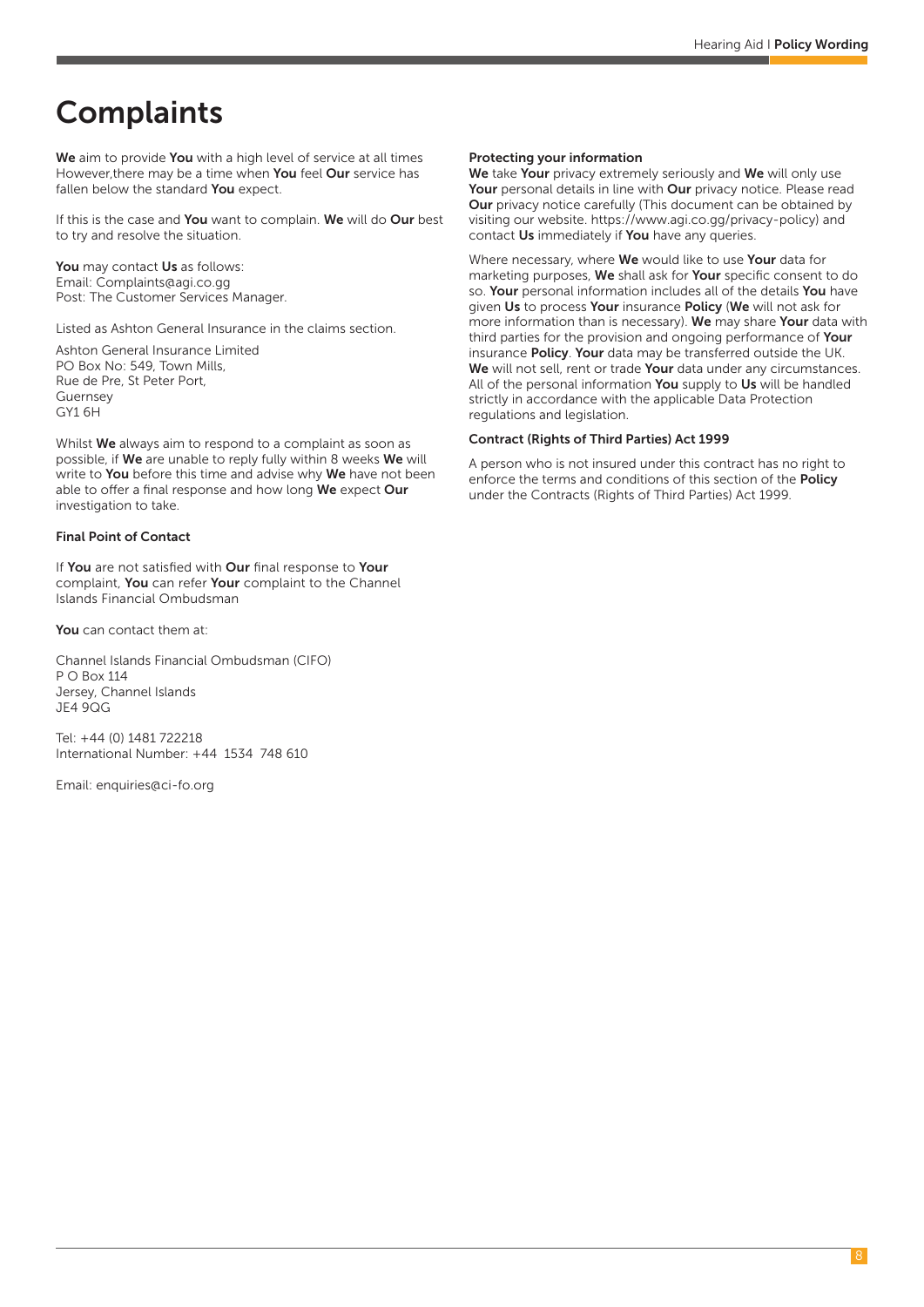## **Complaints**

We aim to provide You with a high level of service at all times However, there may be a time when You feel Our service has fallen below the standard You expect.

If this is the case and You want to complain. We will do Our best to try and resolve the situation.

You may contact Us as follows: Email: Complaints@agi.co.gg Post: The Customer Services Manager.

Listed as Ashton General Insurance in the claims section.

Ashton General Insurance Limited PO Box No: 549, Town Mills, Rue de Pre, St Peter Port, Guernsey GY1 6H

Whilst We always aim to respond to a complaint as soon as possible, if We are unable to reply fully within 8 weeks We will write to You before this time and advise why We have not been able to offer a final response and how long We expect Our investigation to take.

#### Final Point of Contact

If You are not satisfied with Our final response to Your complaint, You can refer Your complaint to the Channel Islands Financial Ombudsman

You can contact them at:

Channel Islands Financial Ombudsman (CIFO) P O Box 114 Jersey, Channel Islands JE4 9QG

Tel: +44 (0) 1481 722218 International Number: +44 1534 748 610

Email: enquiries@ci-fo.org

#### Protecting your information

We take Your privacy extremely seriously and We will only use Your personal details in line with Our privacy notice. Please read Our privacy notice carefully (This document can be obtained by visiting our website. https://www.agi.co.gg/privacy-policy) and contact Us immediately if You have any queries.

Where necessary, where We would like to use Your data for marketing purposes, We shall ask for Your specific consent to do so. Your personal information includes all of the details You have given Us to process Your insurance Policy (We will not ask for more information than is necessary). We may share Your data with third parties for the provision and ongoing performance of Your insurance Policy. Your data may be transferred outside the UK. We will not sell, rent or trade Your data under any circumstances. All of the personal information You supply to Us will be handled strictly in accordance with the applicable Data Protection regulations and legislation.

#### Contract (Rights of Third Parties) Act 1999

A person who is not insured under this contract has no right to enforce the terms and conditions of this section of the **Policy** under the Contracts (Rights of Third Parties) Act 1999.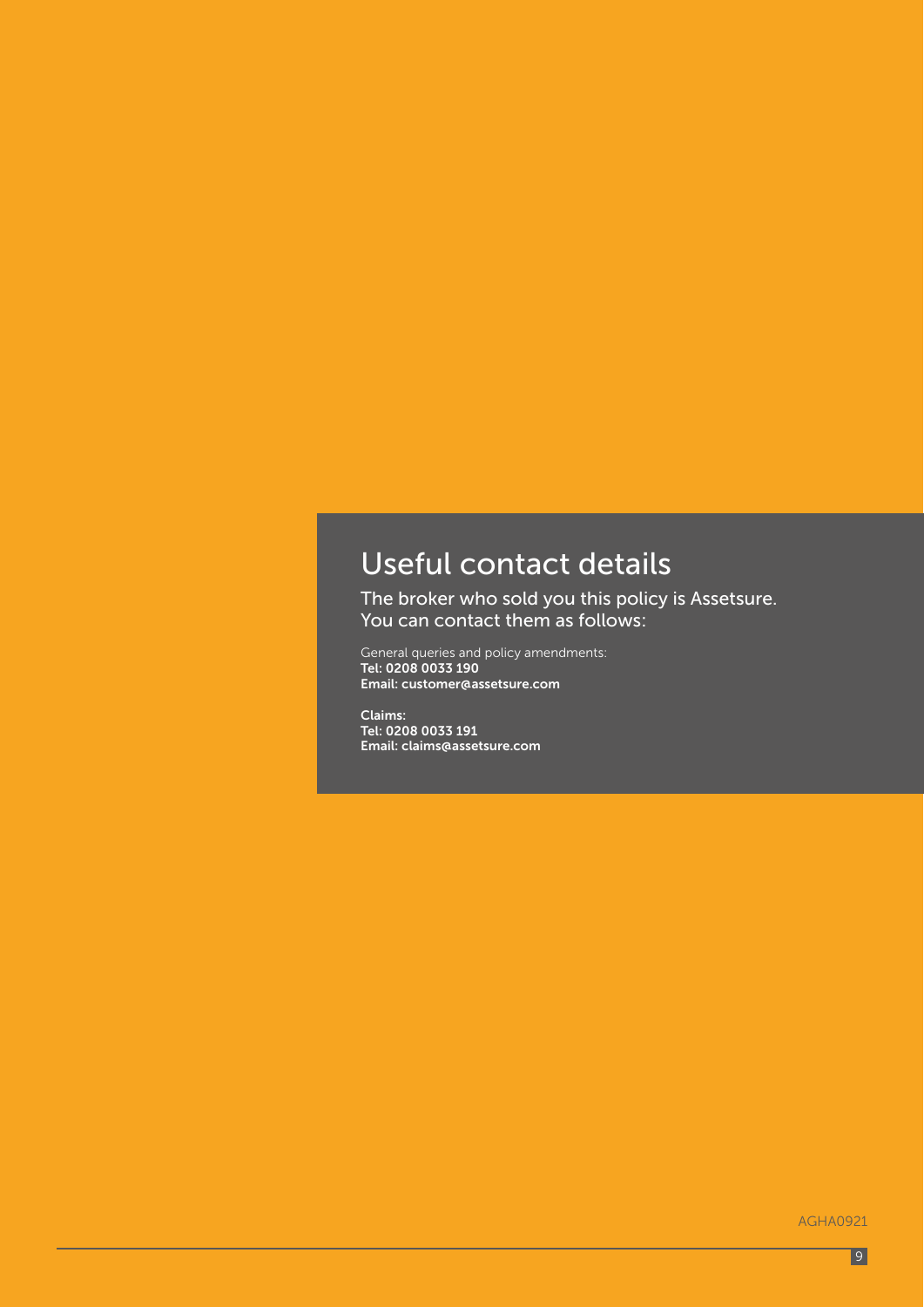# Useful contact details

The broker who sold you this policy is Assetsure. You can contact them as follows:

General queries and policy amendments: Tel: 0208 0033 190 Email: customer@assetsure.com

Claims: Tel: 0208 0033 191 Email: claims@assetsure.com

AGHA0921